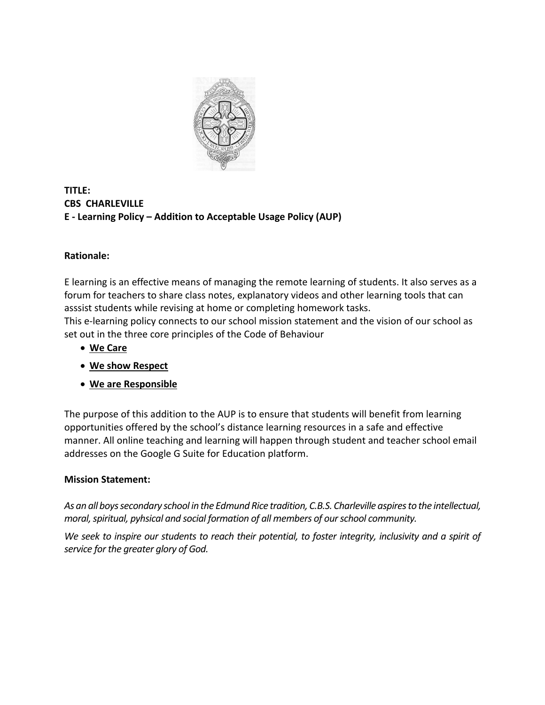

## **TITLE: CBS CHARLEVILLE E - Learning Policy – Addition to Acceptable Usage Policy (AUP)**

# **Rationale:**

E learning is an effective means of managing the remote learning of students. It also serves as a forum for teachers to share class notes, explanatory videos and other learning tools that can asssist students while revising at home or completing homework tasks. This e-learning policy connects to our school mission statement and the vision of our school as set out in the three core principles of the Code of Behaviour

- **We Care**
- **We show Respect**
- **We are Responsible**

The purpose of this addition to the AUP is to ensure that students will benefit from learning opportunities offered by the school's distance learning resources in a safe and effective manner. All online teaching and learning will happen through student and teacher school email addresses on the Google G Suite for Education platform.

## **Mission Statement:**

*As an all boys secondary school in the Edmund Rice tradition, C.B.S. Charleville aspires to the intellectual, moral, spiritual, pyhsical and social formation of all members of our school community.*

*We seek to inspire our students to reach their potential, to foster integrity, inclusivity and a spirit of service for the greater glory of God.*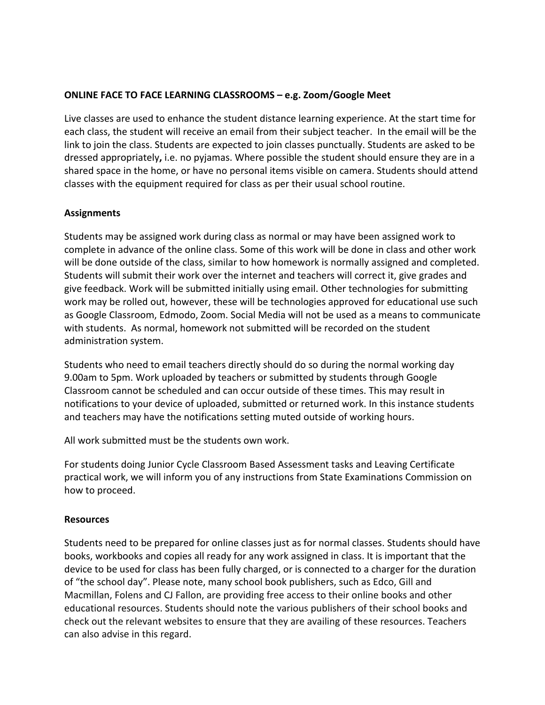### **ONLINE FACE TO FACE LEARNING CLASSROOMS – e.g. Zoom/Google Meet**

Live classes are used to enhance the student distance learning experience. At the start time for each class, the student will receive an email from their subject teacher. In the email will be the link to join the class. Students are expected to join classes punctually. Students are asked to be dressed appropriately**,** i.e. no pyjamas. Where possible the student should ensure they are in a shared space in the home, or have no personal items visible on camera. Students should attend classes with the equipment required for class as per their usual school routine.

### **Assignments**

Students may be assigned work during class as normal or may have been assigned work to complete in advance of the online class. Some of this work will be done in class and other work will be done outside of the class, similar to how homework is normally assigned and completed. Students will submit their work over the internet and teachers will correct it, give grades and give feedback. Work will be submitted initially using email. Other technologies for submitting work may be rolled out, however, these will be technologies approved for educational use such as Google Classroom, Edmodo, Zoom. Social Media will not be used as a means to communicate with students. As normal, homework not submitted will be recorded on the student administration system.

Students who need to email teachers directly should do so during the normal working day 9.00am to 5pm. Work uploaded by teachers or submitted by students through Google Classroom cannot be scheduled and can occur outside of these times. This may result in notifications to your device of uploaded, submitted or returned work. In this instance students and teachers may have the notifications setting muted outside of working hours.

All work submitted must be the students own work.

For students doing Junior Cycle Classroom Based Assessment tasks and Leaving Certificate practical work, we will inform you of any instructions from State Examinations Commission on how to proceed.

## **Resources**

Students need to be prepared for online classes just as for normal classes. Students should have books, workbooks and copies all ready for any work assigned in class. It is important that the device to be used for class has been fully charged, or is connected to a charger for the duration of "the school day". Please note, many school book publishers, such as Edco, Gill and Macmillan, Folens and CJ Fallon, are providing free access to their online books and other educational resources. Students should note the various publishers of their school books and check out the relevant websites to ensure that they are availing of these resources. Teachers can also advise in this regard.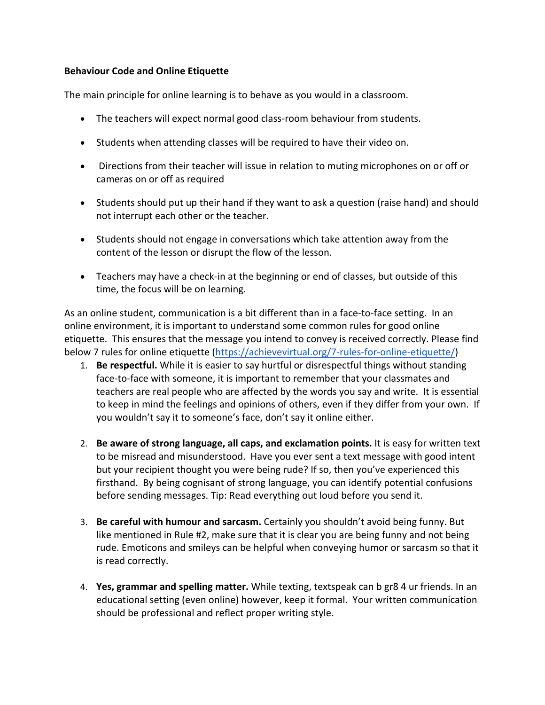#### **Behaviour Code and Online Etiquette**

The main principle for online learning is to behave as you would in a classroom.

- The teachers will expect normal good class-room behaviour from students.
- Students when attending classes will be required to have their video on.
- Directions from their teacher will issue in relation to muting microphones on or off or cameras on or off as required
- Students should put up their hand if they want to ask a question (raise hand) and should not interrupt each other or the teacher.
- Students should not engage in conversations which take attention away from the content of the lesson or disrupt the flow of the lesson.
- Teachers may have a check-in at the beginning or end of classes, but outside of this time, the focus will be on learning.

As an online student, communication is a bit different than in a face-to-face setting. In an online environment, it is important to understand some common rules for good online etiquette. This ensures that the message you intend to convey is received correctly. Please find below 7 rules for online etiquette (https://achievevirtual.org/7-rules-for-online-etiquette/)

- 1. **Be respectful.** While it is easier to say hurtful or disrespectful things without standing face-to-face with someone, it is important to remember that your classmates and teachers are real people who are affected by the words you say and write. It is essential to keep in mind the feelings and opinions of others, even if they differ from your own. If you wouldn't say it to someone's face, don't say it online either.
- 2. **Be aware of strong language, all caps, and exclamation points.** It is easy for written text to be misread and misunderstood. Have you ever sent a text message with good intent but your recipient thought you were being rude? If so, then you've experienced this firsthand. By being cognisant of strong language, you can identify potential confusions before sending messages. Tip: Read everything out loud before you send it.
- 3. **Be careful with humour and sarcasm.** Certainly you shouldn't avoid being funny. But like mentioned in Rule #2, make sure that it is clear you are being funny and not being rude. Emoticons and smileys can be helpful when conveying humor or sarcasm so that it is read correctly.
- 4. **Yes, grammar and spelling matter.** While texting, textspeak can b gr8 4 ur friends. In an educational setting (even online) however, keep it formal. Your written communication should be professional and reflect proper writing style.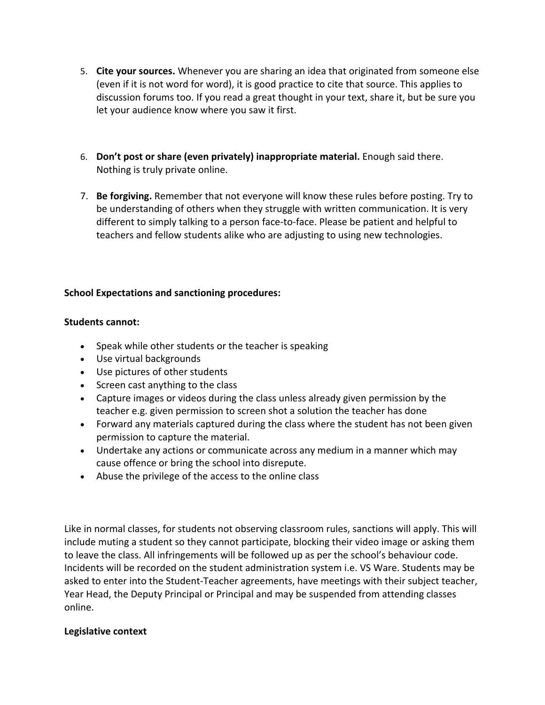- 5. **Cite your sources.** Whenever you are sharing an idea that originated from someone else (even if it is not word for word), it is good practice to cite that source. This applies to discussion forums too. If you read a great thought in your text, share it, but be sure you let your audience know where you saw it first.
- 6. **Don't post or share (even privately) inappropriate material.** Enough said there. Nothing is truly private online.
- 7. **Be forgiving.** Remember that not everyone will know these rules before posting. Try to be understanding of others when they struggle with written communication. It is very different to simply talking to a person face-to-face. Please be patient and helpful to teachers and fellow students alike who are adjusting to using new technologies.

## **School Expectations and sanctioning procedures:**

### **Students cannot:**

- Speak while other students or the teacher is speaking
- Use virtual backgrounds
- Use pictures of other students
- Screen cast anything to the class
- Capture images or videos during the class unless already given permission by the teacher e.g. given permission to screen shot a solution the teacher has done
- Forward any materials captured during the class where the student has not been given permission to capture the material.
- Undertake any actions or communicate across any medium in a manner which may cause offence or bring the school into disrepute.
- Abuse the privilege of the access to the online class

Like in normal classes, for students not observing classroom rules, sanctions will apply. This will include muting a student so they cannot participate, blocking their video image or asking them to leave the class. All infringements will be followed up as per the school's behaviour code. Incidents will be recorded on the student administration system i.e. VS Ware. Students may be asked to enter into the Student-Teacher agreements, have meetings with their subject teacher, Year Head, the Deputy Principal or Principal and may be suspended from attending classes online.

#### **Legislative context**